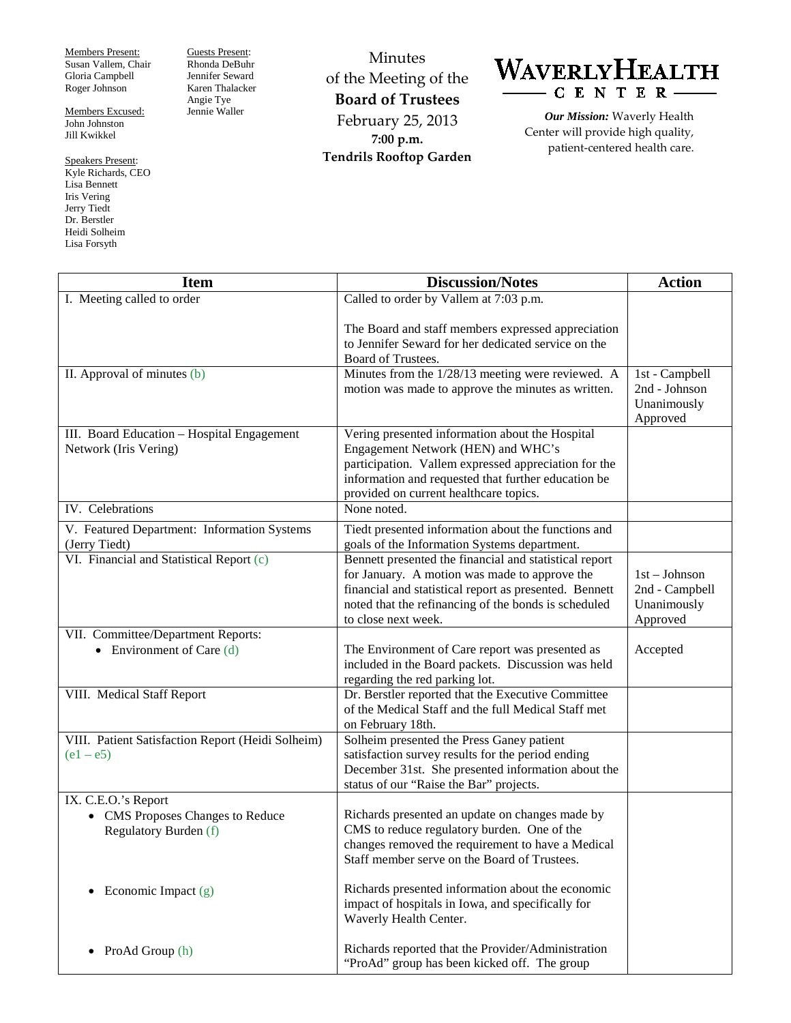Members Present: Susan Vallem, Chair Gloria Campbell Roger Johnson

Members Excused: John Johnston Jill Kwikkel

Speakers Present: Kyle Richards, CEO Lisa Bennett Iris Vering Jerry Tiedt Dr. Berstler Heidi Solheim Lisa Forsyth

Guests Present: Rhonda DeBuhr Jennifer Seward Karen Thalacker Angie Tye Jennie Waller

Minutes of the Meeting of the **Board of Trustees** February 25, 2013 **7:00 p.m. Tendrils Rooftop Garden**

## WAVERLYHEALTH CENTER-

*Our Mission:* Waverly Health Center will provide high quality, patient-centered health care.

| <b>Item</b>                                                                      | <b>Discussion/Notes</b>                                                                                                                                                                                                                          | <b>Action</b>                                                |
|----------------------------------------------------------------------------------|--------------------------------------------------------------------------------------------------------------------------------------------------------------------------------------------------------------------------------------------------|--------------------------------------------------------------|
| I. Meeting called to order                                                       | Called to order by Vallem at 7:03 p.m.                                                                                                                                                                                                           |                                                              |
|                                                                                  | The Board and staff members expressed appreciation<br>to Jennifer Seward for her dedicated service on the<br>Board of Trustees.                                                                                                                  |                                                              |
| II. Approval of minutes (b)                                                      | Minutes from the 1/28/13 meeting were reviewed. A<br>motion was made to approve the minutes as written.                                                                                                                                          | 1st - Campbell<br>2nd - Johnson<br>Unanimously<br>Approved   |
| III. Board Education - Hospital Engagement<br>Network (Iris Vering)              | Vering presented information about the Hospital<br>Engagement Network (HEN) and WHC's<br>participation. Vallem expressed appreciation for the<br>information and requested that further education be<br>provided on current healthcare topics.   |                                                              |
| IV. Celebrations                                                                 | None noted.                                                                                                                                                                                                                                      |                                                              |
| V. Featured Department: Information Systems<br>(Jerry Tiedt)                     | Tiedt presented information about the functions and<br>goals of the Information Systems department.                                                                                                                                              |                                                              |
| VI. Financial and Statistical Report (c)                                         | Bennett presented the financial and statistical report<br>for January. A motion was made to approve the<br>financial and statistical report as presented. Bennett<br>noted that the refinancing of the bonds is scheduled<br>to close next week. | $1st - Johnson$<br>2nd - Campbell<br>Unanimously<br>Approved |
| VII. Committee/Department Reports:                                               |                                                                                                                                                                                                                                                  |                                                              |
| • Environment of Care $(d)$                                                      | The Environment of Care report was presented as<br>included in the Board packets. Discussion was held<br>regarding the red parking lot.                                                                                                          | Accepted                                                     |
| VIII. Medical Staff Report                                                       | Dr. Berstler reported that the Executive Committee<br>of the Medical Staff and the full Medical Staff met<br>on February 18th.                                                                                                                   |                                                              |
| VIII. Patient Satisfaction Report (Heidi Solheim)<br>$(e1 - e5)$                 | Solheim presented the Press Ganey patient<br>satisfaction survey results for the period ending<br>December 31st. She presented information about the<br>status of our "Raise the Bar" projects.                                                  |                                                              |
| IX. C.E.O.'s Report<br>• CMS Proposes Changes to Reduce<br>Regulatory Burden (f) | Richards presented an update on changes made by<br>CMS to reduce regulatory burden. One of the<br>changes removed the requirement to have a Medical<br>Staff member serve on the Board of Trustees.                                              |                                                              |
| Economic Impact $(g)$                                                            | Richards presented information about the economic<br>impact of hospitals in Iowa, and specifically for<br>Waverly Health Center.                                                                                                                 |                                                              |
| ProAd Group (h)                                                                  | Richards reported that the Provider/Administration<br>"ProAd" group has been kicked off. The group                                                                                                                                               |                                                              |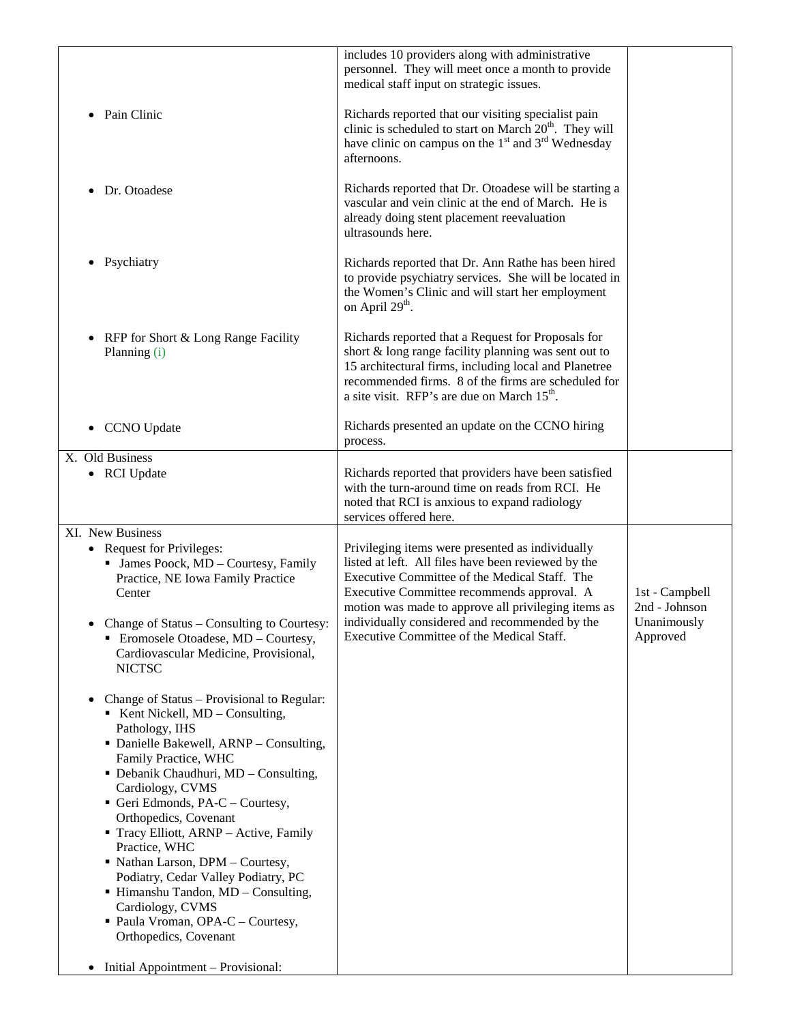|                                                                                                                                              | includes 10 providers along with administrative<br>personnel. They will meet once a month to provide<br>medical staff input on strategic issues.                                                                                                                                      |                                 |
|----------------------------------------------------------------------------------------------------------------------------------------------|---------------------------------------------------------------------------------------------------------------------------------------------------------------------------------------------------------------------------------------------------------------------------------------|---------------------------------|
| Pain Clinic<br>$\bullet$                                                                                                                     | Richards reported that our visiting specialist pain<br>clinic is scheduled to start on March 20 <sup>th</sup> . They will<br>have clinic on campus on the 1 <sup>st</sup> and 3 <sup>rd</sup> Wednesday<br>afternoons.                                                                |                                 |
| Dr. Otoadese<br>$\bullet$                                                                                                                    | Richards reported that Dr. Otoadese will be starting a<br>vascular and vein clinic at the end of March. He is<br>already doing stent placement reevaluation<br>ultrasounds here.                                                                                                      |                                 |
| Psychiatry<br>$\bullet$                                                                                                                      | Richards reported that Dr. Ann Rathe has been hired<br>to provide psychiatry services. She will be located in<br>the Women's Clinic and will start her employment<br>on April 29 <sup>th</sup> .                                                                                      |                                 |
| RFP for Short & Long Range Facility<br>$\bullet$<br>Planning (i)                                                                             | Richards reported that a Request for Proposals for<br>short & long range facility planning was sent out to<br>15 architectural firms, including local and Planetree<br>recommended firms. 8 of the firms are scheduled for<br>a site visit. RFP's are due on March 15 <sup>th</sup> . |                                 |
| <b>CCNO</b> Update                                                                                                                           | Richards presented an update on the CCNO hiring<br>process.                                                                                                                                                                                                                           |                                 |
| X. Old Business                                                                                                                              |                                                                                                                                                                                                                                                                                       |                                 |
| • RCI Update                                                                                                                                 | Richards reported that providers have been satisfied<br>with the turn-around time on reads from RCI. He<br>noted that RCI is anxious to expand radiology<br>services offered here.                                                                                                    |                                 |
| XI. New Business                                                                                                                             |                                                                                                                                                                                                                                                                                       |                                 |
| • Request for Privileges:<br>• James Poock, MD - Courtesy, Family<br>Practice, NE Iowa Family Practice<br>Center                             | Privileging items were presented as individually<br>listed at left. All files have been reviewed by the<br>Executive Committee of the Medical Staff. The<br>Executive Committee recommends approval. A<br>motion was made to approve all privileging items as                         | 1st - Campbell<br>2nd - Johnson |
| Change of Status - Consulting to Courtesy:<br>• Eromosele Otoadese, MD - Courtesy,<br>Cardiovascular Medicine, Provisional,<br><b>NICTSC</b> | individually considered and recommended by the<br>Executive Committee of the Medical Staff.                                                                                                                                                                                           | Unanimously<br>Approved         |
| Change of Status – Provisional to Regular:<br>Kent Nickell, $MD$ – Consulting,<br>Pathology, IHS                                             |                                                                                                                                                                                                                                                                                       |                                 |
| • Danielle Bakewell, ARNP - Consulting,<br>Family Practice, WHC<br>• Debanik Chaudhuri, MD - Consulting,<br>Cardiology, CVMS                 |                                                                                                                                                                                                                                                                                       |                                 |
| Geri Edmonds, PA-C - Courtesy,<br>Orthopedics, Covenant<br>Tracy Elliott, ARNP - Active, Family                                              |                                                                                                                                                                                                                                                                                       |                                 |
| Practice, WHC<br>• Nathan Larson, DPM - Courtesy,<br>Podiatry, Cedar Valley Podiatry, PC                                                     |                                                                                                                                                                                                                                                                                       |                                 |
| ■ Himanshu Tandon, MD - Consulting,<br>Cardiology, CVMS                                                                                      |                                                                                                                                                                                                                                                                                       |                                 |
| Paula Vroman, OPA-C - Courtesy,<br>Orthopedics, Covenant                                                                                     |                                                                                                                                                                                                                                                                                       |                                 |
| Initial Appointment - Provisional:<br>$\bullet$                                                                                              |                                                                                                                                                                                                                                                                                       |                                 |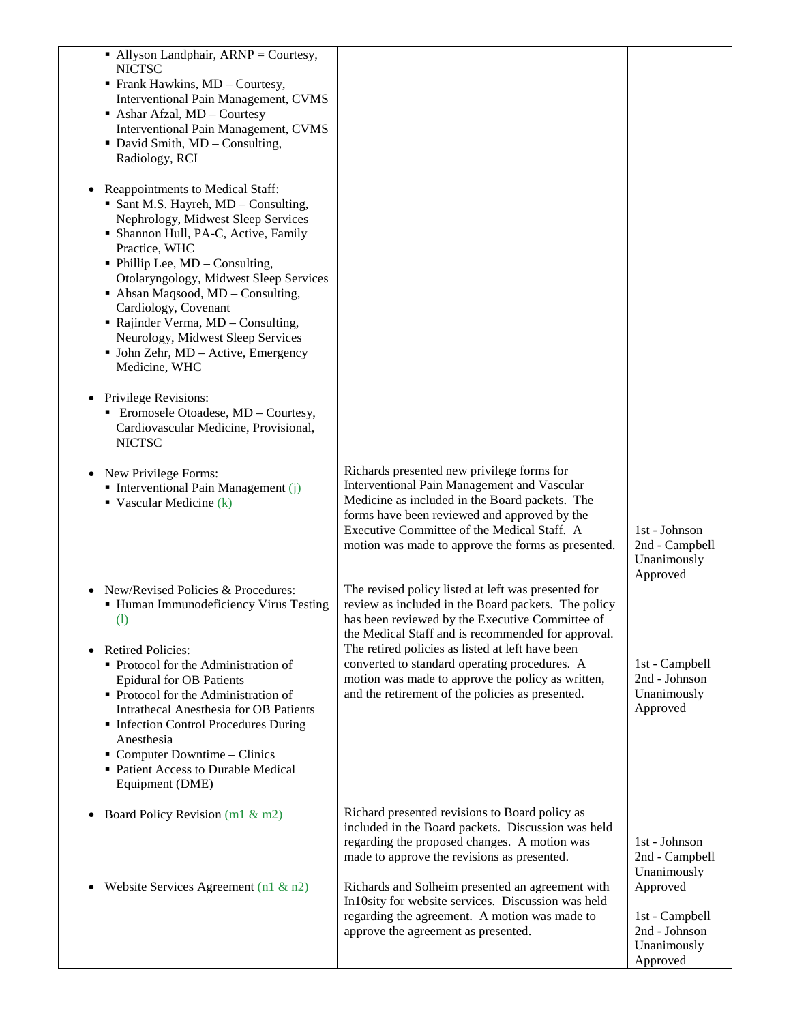| $\blacksquare$ Allyson Landphair, ARNP = Courtesy,<br><b>NICTSC</b><br>• Frank Hawkins, MD – Courtesy,<br><b>Interventional Pain Management, CVMS</b><br>Ashar Afzal, MD - Courtesy<br><b>Interventional Pain Management, CVMS</b><br>• David Smith, MD - Consulting,<br>Radiology, RCI<br>Reappointments to Medical Staff:<br>• Sant M.S. Hayreh, MD - Consulting,<br>Nephrology, Midwest Sleep Services<br>• Shannon Hull, PA-C, Active, Family<br>Practice, WHC<br>$\blacksquare$ Phillip Lee, MD – Consulting,<br>Otolaryngology, Midwest Sleep Services<br>$\blacksquare$ Ahsan Maqsood, MD – Consulting,<br>Cardiology, Covenant<br>• Rajinder Verma, MD - Consulting,<br>Neurology, Midwest Sleep Services<br>• John Zehr, MD - Active, Emergency<br>Medicine, WHC<br>Privilege Revisions:<br>Eromosele Otoadese, MD - Courtesy,<br>٠<br>Cardiovascular Medicine, Provisional,<br><b>NICTSC</b> |                                                                                                                                                                                                                                                                                                                                                                                                                                   |                                                                        |
|--------------------------------------------------------------------------------------------------------------------------------------------------------------------------------------------------------------------------------------------------------------------------------------------------------------------------------------------------------------------------------------------------------------------------------------------------------------------------------------------------------------------------------------------------------------------------------------------------------------------------------------------------------------------------------------------------------------------------------------------------------------------------------------------------------------------------------------------------------------------------------------------------------|-----------------------------------------------------------------------------------------------------------------------------------------------------------------------------------------------------------------------------------------------------------------------------------------------------------------------------------------------------------------------------------------------------------------------------------|------------------------------------------------------------------------|
| New Privilege Forms:<br>$\blacksquare$ Interventional Pain Management (j)<br>• Vascular Medicine $(k)$                                                                                                                                                                                                                                                                                                                                                                                                                                                                                                                                                                                                                                                                                                                                                                                                 | Richards presented new privilege forms for<br>Interventional Pain Management and Vascular<br>Medicine as included in the Board packets. The<br>forms have been reviewed and approved by the<br>Executive Committee of the Medical Staff. A<br>motion was made to approve the forms as presented.                                                                                                                                  | 1st - Johnson<br>2nd - Campbell<br>Unanimously<br>Approved             |
| New/Revised Policies & Procedures:<br>• Human Immunodeficiency Virus Testing<br>$\left( \mathrm{l}\right)$<br><b>Retired Policies:</b><br>Protocol for the Administration of<br><b>Epidural for OB Patients</b><br>• Protocol for the Administration of<br><b>Intrathecal Anesthesia for OB Patients</b><br>Infection Control Procedures During<br>Anesthesia<br>$\blacksquare$ Computer Downtime – Clinics<br>• Patient Access to Durable Medical<br>Equipment (DME)                                                                                                                                                                                                                                                                                                                                                                                                                                  | The revised policy listed at left was presented for<br>review as included in the Board packets. The policy<br>has been reviewed by the Executive Committee of<br>the Medical Staff and is recommended for approval.<br>The retired policies as listed at left have been<br>converted to standard operating procedures. A<br>motion was made to approve the policy as written,<br>and the retirement of the policies as presented. | 1st - Campbell<br>2nd - Johnson<br>Unanimously<br>Approved             |
| Board Policy Revision (m1 & m2)<br>٠                                                                                                                                                                                                                                                                                                                                                                                                                                                                                                                                                                                                                                                                                                                                                                                                                                                                   | Richard presented revisions to Board policy as<br>included in the Board packets. Discussion was held<br>regarding the proposed changes. A motion was<br>made to approve the revisions as presented.                                                                                                                                                                                                                               | 1st - Johnson<br>2nd - Campbell<br>Unanimously                         |
| Website Services Agreement (n1 $\&$ n2)                                                                                                                                                                                                                                                                                                                                                                                                                                                                                                                                                                                                                                                                                                                                                                                                                                                                | Richards and Solheim presented an agreement with<br>In10sity for website services. Discussion was held<br>regarding the agreement. A motion was made to<br>approve the agreement as presented.                                                                                                                                                                                                                                    | Approved<br>1st - Campbell<br>2nd - Johnson<br>Unanimously<br>Approved |